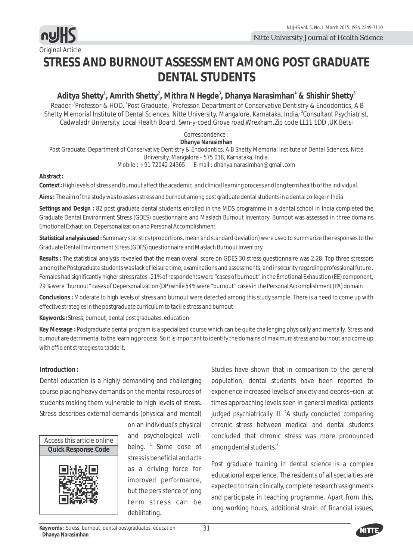

Original Article

# **STRESS AND BURNOUT ASSESSMENT AMONG POST GRADUATE DENTAL STUDENTS**

**1 2 3 4 5 Aditya Shetty , Amrith Shetty Mithra N Hegde , Dhanya Narasimhan & Shishir Shetty ,**  <sup>1</sup>Reader, <sup>3</sup>Professor & HOD, <sup>4</sup>Post Graduate, <sup>5</sup>Professor, Department of Conservative Dentistry & Endodontics, A B Shetty Memorial Institute of Dental Sciences, Nitte University, Mangalore, Karnataka, India, <sup>2</sup>Consultant Psychiatrist, Cadwaladr University, Local Health Board, Swn-y-coed,Grove road,Wrexham,Zip code LL11 1DD ,UK Betsi

Correspondence :

**Dhanya Narasimhan** Post Graduate, Department of Conservative Dentistry & Endodontics, A B Shetty Memorial Institute of Dental Sciences, Nitte University, Mangalore - 575 018, Karnataka, India. Mobile : + 91 72042 24365 E-mail : dhanya.narasimhan@gmail.com

**Abstract :** 

**Context :** High levels of stress and burnout affect the academic, and clinical learning process and long term health of the individual.

**Aims :** The aim of the study was to assess stress and burnout among post graduate dental students in a dental college in India

**Settings and Design :** 82 post graduate dental students enrolled in the MDS programme in a dental school in India completed the Graduate Dental Environment Stress (GDES) questionnaire and Maslach Burnout Inventory. Burnout was assessed in three domains Emotional Exhaution, Depersonalization and Personal Accomplishment

**Statistical analysis used :** Summary statistics (proportions, mean and standard deviation) were used to summarize the responses to the Graduate Dental Environment Stress (GDES) questionnaire and Maslach Burnout Inventory

**Results :** The statistical analysis revealed that the mean overall score on GDES 30 stress questionnaire was 2.28. Top three stressors among the Postgraduate students was lack of leisure time, examinations and assessments, and insecurity regarding professional future . Females had significantly higher stress rates . 21% of respondents were "cases of burnout" in the Emotional Exhaustion (EE) component, 29 % were "burnout" cases of Depersonalization (DP) while 54% were "burnout" cases in the Personal Accomplishment (PA) domain

**Conclusions :** Moderate to high levels of stress and burnout were detected among this study sample. There is a need to come up with effective strategies in the postgraduate curriculum to tackle stress and burnout.

**Keywords :** Stress, burnout, dental postgraduates, education

**Key Message :** Postgraduate dental program is a specialized course which can be quite challenging physically and mentally. Stress and burnout are detrimental to the learning process. So it is important to identify the domains of maximum stress and burnout and come up with efficient strategies to tackle it.

## **Introduction :**

Dental education is a highly demanding and challenging course placing heavy demands on the mental resources of students making them vulnerable to high levels of stress. Stress describes external demands (physical and mental)



on an individual's physical and psychological wellbeing. <sup>1</sup> Some dose of stress is beneficial and acts as a driving force for improved performance, but the persistence of long term stress can be debilitating.

Studies have shown that in comparison to the general population, dental students have been reported to experience increased levels of anxiety and depres¬sion at times approaching levels seen in general medical patients judged psychiatrically ill. <sup>2</sup>A study conducted comparing chronic stress between medical and dental students concluded that chronic stress was more pronounced among dental students.<sup>3</sup>

Post graduate training in dental science is a complex educational experience. The residents of all specialties are expected to train clinically, complete research assignments and participate in teaching programme. Apart from this, long working hours, additional strain of financial issues,

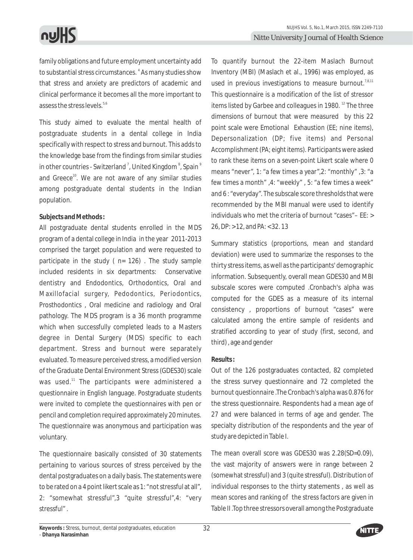family obligations and future employment uncertainty add to substantial stress circumstances. <sup>4</sup> As many studies show that stress and anxiety are predictors of academic and clinical performance it becomes all the more important to assess the stress levels.<sup>5,6</sup>

This study aimed to evaluate the mental health of postgraduate students in a dental college in India specifically with respect to stress and burnout. This adds to the knowledge base from the findings from similar studies in other countries - Switzerland<sup>7</sup>, United Kingdom<sup>8</sup>, Spain<sup>9</sup> and Greece<sup>10</sup>. We are not aware of any similar studies among postgraduate dental students in the Indian population.

# **Subjects and Methods :**

All postgraduate dental students enrolled in the MDS program of a dental college in India in the year 2011-2013 comprised the target population and were requested to participate in the study ( $n= 126$ ). The study sample included residents in six departments: Conservative dentistry and Endodontics, Orthodontics, Oral and Maxillofacial surgery, Pedodontics, Periodontics, Prosthodontics , Oral medicine and radiology and Oral pathology. The MDS program is a 36 month programme which when successfully completed leads to a Masters degree in Dental Surgery (MDS) specific to each department. Stress and burnout were separately evaluated. To measure perceived stress, a modified version of the Graduate Dental Environment Stress (GDES30) scale was used.<sup>11</sup> The participants were administered a questionnaire in English language. Postgraduate students were invited to complete the questionnaires with pen or pencil and completion required approximately 20 minutes. The questionnaire was anonymous and participation was voluntary.

The questionnaire basically consisted of 30 statements pertaining to various sources of stress perceived by the dental postgraduates on a daily basis. The statements were to be rated on a 4 point likert scale as 1: "not stressful at all", 2: "somewhat stressful",3 "quite stressful",4: "very stressful" .

To quantify burnout the 22-item Maslach Burnout Inventory (MBI) (Maslach et al., 1996) was employed, as used in previous investigations to measure burnout.<sup>7,8,11</sup> This questionnaire is a modification of the list of stressor items listed by Garbee and colleagues in 1980.  $12$  The three dimensions of burnout that were measured by this 22 point scale were Emotional Exhaustion (EE; nine items), Depersonalization (DP; five items) and Personal Accomplishment (PA; eight items). Participants were asked to rank these items on a seven-point Likert scale where 0 means "never", 1: "a few times a year",2: "monthly" ,3: "a few times a month" ,4: "weekly" , 5: "a few times a week" and 6 : "everyday". The subscale score thresholds that were recommended by the MBI manual were used to identify individuals who met the criteria of burnout "cases"– EE: > 26, DP: > 12, and PA: < 32. 13

Summary statistics (proportions, mean and standard deviation) were used to summarize the responses to the thirty stress items, as well as the participants' demographic information. Subsequently, overall mean GDES30 and MBI subscale scores were computed .Cronbach's alpha was computed for the GDES as a measure of its internal consistency , proportions of burnout "cases" were calculated among the entire sample of residents and stratified according to year of study (first, second, and third) , age and gender

# **Results :**

Out of the 126 postgraduates contacted, 82 completed the stress survey questionnaire and 72 completed the burnout questionnaire .The Cronbach's alpha was 0.876 for the stress questionnaire. Respondents had a mean age of 27 and were balanced in terms of age and gender. The specialty distribution of the respondents and the year of study are depicted in Table I.

The mean overall score was GDES30 was 2.28(SD=0.09), the vast majority of answers were in range between 2 (somewhat stressful) and 3 (quite stressful). Distribution of individual responses to the thirty statements , as well as mean scores and ranking of the stress factors are given in Table II .Top three stressors overall among the Postgraduate

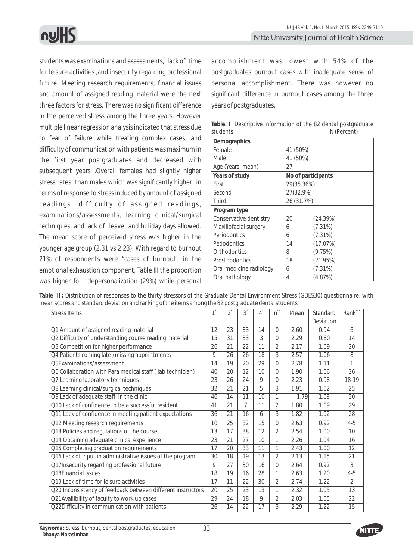students was examinations and assessments, lack of time for leisure activities ,and insecurity regarding professional future. Meeting research requirements, financial issues and amount of assigned reading material were the next three factors for stress. There was no significant difference in the perceived stress among the three years. However multiple linear regression analysis indicated that stress due to fear of failure while treating complex cases, and difficulty of communication with patients was maximum in the first year postgraduates and decreased with subsequent years .Overall females had slightly higher stress rates than males which was significantly higher in terms of response to stress induced by amount of assigned readings, difficulty of assigned readings, examinations/assessments, learning clinical/surgical techniques, and lack of leave and holiday days allowed. The mean score of perceived stress was higher in the younger age group (2.31 vs 2.23). With regard to burnout 21% of respondents were "cases of burnout" in the emotional exhaustion component, Table III the proportion was higher for depersonalization (29%) while personal

accomplishment was lowest with 54% of the postgraduates burnout cases with inadequate sense of personal accomplishment. There was however no significant difference in burnout cases among the three years of postgraduates.

| students                | N (Percent) |                    |  |  |  |  |  |
|-------------------------|-------------|--------------------|--|--|--|--|--|
| Demographics            |             |                    |  |  |  |  |  |
| Female                  | 41 (50%)    |                    |  |  |  |  |  |
| Male                    | 41 (50%)    |                    |  |  |  |  |  |
| Age (Years, mean)       | 27          |                    |  |  |  |  |  |
| Years of study          |             | No of participants |  |  |  |  |  |
| First                   | 29(35.36%)  |                    |  |  |  |  |  |
| Second                  |             | 27(32.9%)          |  |  |  |  |  |
| Third                   | 26 (31.7%)  |                    |  |  |  |  |  |
| Program type            |             |                    |  |  |  |  |  |
| Conservative dentistry  | 20          | (24.39%)           |  |  |  |  |  |
| Maxillofacial surgery   | 6           | (7.31%)            |  |  |  |  |  |
| Periodontics            | 6           | (7.31%)            |  |  |  |  |  |
| Pedodontics             | 14          | (17.07%)           |  |  |  |  |  |
| Orthodontics            | 8           | (9.75%)            |  |  |  |  |  |
| Prosthodontics          | 18          | (21.95%)           |  |  |  |  |  |
| Oral medicine radiology | 6           | (7.31%)            |  |  |  |  |  |
| Oral pathology          | 4           | (4.87%)            |  |  |  |  |  |

**Table. I** Descriptive information of the 82 dental postgraduate students N (Percent)

| Table II: Distribution of responses to the thirty stressors of the Graduate Dental Environment Stress (GDES30) questionnaire, with |  |
|------------------------------------------------------------------------------------------------------------------------------------|--|
| mean scores and standard deviation and ranking of the items among the 82 postgraduate dental students                              |  |

| <b>Stress Items</b>                                         |    | $\overline{2}$ | $3^{\degree}$ | 4  | n              | Mean | Standard  | Rank <sup>***</sup> |
|-------------------------------------------------------------|----|----------------|---------------|----|----------------|------|-----------|---------------------|
|                                                             |    |                |               |    |                |      | Deviation |                     |
| Q1 Amount of assigned reading material                      | 12 | 23             | 33            | 14 | $\Omega$       | 2.60 | 0.94      | 6                   |
| Q2 Difficulty of understanding course reading material      | 15 | 31             | 33            | 3  | 0              | 2.29 | 0.80      | 14                  |
| Q3 Competition for higher performance                       | 26 | 21             | 22            | 11 | 2              | 2.17 | 1.09      | 20                  |
| Q4 Patients coming late /missing appointments               | 9  | 26             | 26            | 18 | 3              | 2.57 | 1.06      | 8                   |
| O5Examinations/assessment                                   | 14 | 19             | 20            | 29 | 0              | 2.78 | 1.11      | 1                   |
| Q6 Collaboration with Para medical staff (lab technician)   | 40 | 20             | 12            | 10 | 0              | 1.90 | 1.06      | 26                  |
| Q7 Learning laboratory techniques                           | 23 | 26             | 24            | 9  | 0              | 2.23 | 0.98      | 18-19               |
| Q8 Learning clinical/surgical techniques                    | 32 | 21             | 21            | 5  | 3              | 1.91 | 1.02      | 25                  |
| Q9 Lack of adequate staff in the clinic                     | 46 | 14             | 11            | 10 | 1              | 1.79 | 1.09      | 30                  |
| Q10 Lack of confidence to be a successful resident          | 41 | 21             | 7             | 11 | 2              | 1.80 | 1.09      | 29                  |
| Q11 Lack of confidence in meeting patient expectations      | 36 | 21             | 16            | 6  | 3              | 1.82 | 1.02      | 28                  |
| Q12 Meeting research requirements                           | 10 | 25             | 32            | 15 | 0              | 2.63 | 0.92      | $4 - 5$             |
| Q13 Policies and regulations of the course                  | 13 | 17             | 38            | 12 | 2              | 2.54 | 1.00      | 10                  |
| Q14 Obtaining adequate clinical experience                  | 23 | 21             | 27            | 10 | 1              | 2.26 | 1.04      | 16                  |
| Q15 Completing graduation requirements                      | 17 | 20             | 33            | 11 | 1              | 2.43 | 1.00      | 12                  |
| Q16 Lack of input in administrative issues of the program   | 30 | 18             | 19            | 13 | $\overline{2}$ | 2.13 | 1.15      | 21                  |
| Q17Insecurity regarding professional future                 | 9  | 27             | 30            | 16 | 0              | 2.64 | 0.92      | 3                   |
| Q18Financial issues                                         | 18 | 19             | 16            | 28 | 1              | 2.63 | 1.20      | $4 - 5$             |
| Q19 Lack of time for leisure activities                     | 17 | 11             | 22            | 30 | $\overline{2}$ | 2.74 | 1.22      | $\mathfrak{D}$      |
| Q20 Inconsistency of feedback between different instructors | 20 | 25             | 23            | 13 | 1              | 2.32 | 1.05      | 13                  |
| Q21Availibility of faculty to work up cases                 | 29 | 24             | 18            | 9  | 2              | 2.03 | 1.05      | $\overline{22}$     |
| Q22Difficulty in communication with patients                | 26 | 14             | 22            | 17 | 3              | 2.29 | 1.22      | 15                  |

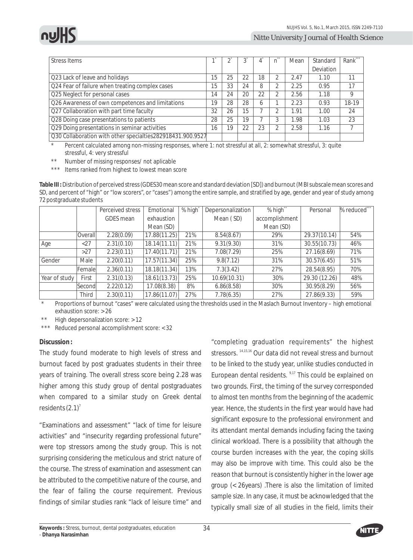

| Stress Items                                               |    |    |    |              |   | Mean | Standard  | Rank*** |
|------------------------------------------------------------|----|----|----|--------------|---|------|-----------|---------|
|                                                            |    |    |    |              |   |      | Deviation |         |
| Q23 Lack of leave and holidays                             | 15 | 25 | 22 | 18           |   | 2.47 | 1.10      | 11      |
| Q24 Fear of failure when treating complex cases            | 15 | 33 | 24 | 8            |   | 2.25 | 0.95      | 17      |
| Q25 Neglect for personal cases                             | 14 | 24 | 20 | 22           | ኅ | 2.56 | 1.18      | 9       |
| Q26 Awareness of own competences and limitations           | 19 | 28 | 28 | <sup>6</sup> |   | 2.23 | 0.93      | 18-19   |
| Q27 Collaboration with part time faculty                   | 32 | 26 | 15 |              |   | 1.91 | 1.00      | 24      |
| Q28 Doing case presentations to patients                   | 28 | 25 | 19 |              |   | 1.98 | 1.03      | 23      |
| Q29 Doing presentations in seminar activities              | 16 | 19 | 22 | 23           |   | 2.58 | 1.16      |         |
| Q30 Collaboration with other specialties282918431.900.9527 |    |    |    |              |   |      |           |         |

Percent calculated among non-missing responses, where 1: not stressful at all, 2: somewhat stressful, 3: quite stressful, 4: very stressful

Number of missing responses/ not aplicable

\*\*\* Items ranked from highest to lowest mean score

**Table III :**Distribution of perceived stress (GDES30 mean score and standard deviation [SD]) and burnout (MBI subscale mean scores and SD, and percent of "high" or "low scorers", or "cases") among the entire sample, and stratified by age, gender and year of study among 72 postgraduate students

|               |              | Perceived stress | Emotional    | % high <sup>*</sup> | Depersonalization | % high**       | Personal      | % reduced*** |
|---------------|--------------|------------------|--------------|---------------------|-------------------|----------------|---------------|--------------|
|               |              | GDES mean        | exhaustion   |                     | Mean (SD)         | accomplishment |               |              |
|               |              |                  | Mean (SD)    |                     |                   | Mean (SD)      |               |              |
|               | Overall      | 2.28(0.09)       | 17.88(11.25) | 21%                 | 8.54(8.67)        | 29%            | 29.37(10.14)  | 54%          |
| Age           | $<$ 27       | 2.31(0.10)       | 18.14(11.11) | 21%                 | 9.31(9.30)        | 31%            | 30.55(10.73)  | 46%          |
|               | >27          | 2.23(0.11)       | 17.40(11.71) | 21%                 | 7.08(7.29)        | 25%            | 27.16(8.69)   | 71%          |
| Gender        | Male         | 2.20(0.11)       | 17.57(11.34) | 25%                 | 9.8(7.12)         | 31%            | 30.57(6.45)   | 51%          |
|               | Femalel      | 2.36(0.11)       | 18.18(11.34) | 13%                 | 7.3(3.42)         | 27%            | 28.54(8.95)   | 70%          |
| Year of study | First        | 2.31(0.13)       | 18.61(13.73) | 25%                 | 10.69(10.31)      | 30%            | 29.30 (12.26) | 48%          |
|               | lSecondl     | 2.22(0.12)       | 17.08(8.38)  | 8%                  | 6.86(8.58)        | 30%            | 30.95(8.29)   | 56%          |
|               | <b>Third</b> | 2.30(0.11)       | 17.86(11.07) | 27%                 | 7.78(6.35)        | 27%            | 27.86(9.33)   | 59%          |

Proportions of burnout "cases" were calculated using the thresholds used in the Maslach Burnout Inventory – high emotional exhaustion score: > 26

High depersonalization score: > 12

\*\*\* Reduced personal accomplishment score: < 32

## **Discussion :**

The study found moderate to high levels of stress and burnout faced by post graduates students in their three years of training. The overall stress score being 2.28 was higher among this study group of dental postgraduates when compared to a similar study on Greek dental residents  $(2.1)^7$ 

"Examinations and assessment" "lack of time for leisure activities" and "insecurity regarding professional future" were top stressors among the study group. This is not surprising considering the meticulous and strict nature of the course. The stress of examination and assessment can be attributed to the competitive nature of the course, and the fear of failing the course requirement. Previous findings of similar studies rank "lack of leisure time" and

"completing graduation requirements" the highest stressors. <sup>14,15,16</sup> Our data did not reveal stress and burnout to be linked to the study year, unlike studies conducted in European dental residents.  $9,17$  This could be explained on two grounds. First, the timing of the survey corresponded to almost ten months from the beginning of the academic year. Hence, the students in the first year would have had significant exposure to the professional environment and its attendant mental demands including facing the taxing clinical workload. There is a possibility that although the course burden increases with the year, the coping skills may also be improve with time. This could also be the reason that burnout is consistently higher in the lower age group (< 26years) .There is also the limitation of limited sample size. In any case, it must be acknowledged that the typically small size of all studies in the field, limits their

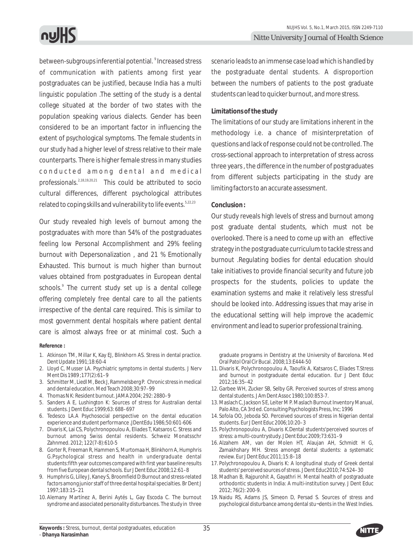between-subgroups inferential potential. <sup>9</sup> Increased stress of communication with patients among first year postgraduates can be justified, because India has a multi linguistic population .The setting of the study is a dental college situated at the border of two states with the population speaking various dialects. Gender has been considered to be an important factor in influencing the extent of psychological symptoms. The female students in our study had a higher level of stress relative to their male counterparts. There is higher female stress in many studies conducted among dental and medical professionals. $2,18,19,20,21$  This could be attributed to socio cultural differences, different psychological attributes related to coping skills and vulnerability to life events.<sup>5,22,23</sup>

Our study revealed high levels of burnout among the postgraduates with more than 54% of the postgraduates feeling low Personal Accomplishment and 29% feeling burnout with Depersonalization , and 21 % Emotionally Exhausted. This burnout is much higher than burnout values obtained from postgraduates in European dental schools.<sup>9</sup> The current study set up is a dental college offering completely free dental care to all the patients irrespective of the dental care required. This is similar to most government dental hospitals where patient dental care is almost always free or at minimal cost. Such a

#### **Reference :**

- 1. Atkinson TM, Millar K, Kay EJ, Blinkhorn AS. Stress in dental practice. Dent Update 1991;18:60-4
- 2. Lloyd C, Musser LA. Psychiatric symptoms in dental students. J Nerv Ment Dis 1989 ;177(2):61–9
- 3. Schmitter M, Liedl M, Beck J, Rammelsberg P. Chronic stress in medical and dental education. Med Teach 2008;30:97–99
- 4. Thomas N K: Resident burnout. JAMA 2004; 292: 2880–9
- 5. Sanders A E, Lushington K: Sources of stress for Australian dental students. J Dent Educ 1999;63: 688–697
- 6. Tedesco LA.A Psychosocial perspective on the dental education experience and student performance .JDentEdu 1986;50:601-606
- 7. Divaris K, Lai CS, Polychronopoulou A, Eliades T, Katsaros C. Stress and burnout among Swiss dental residents. Schweiz Monatsschr Zahnmed. 2012; 122(7-8):610-5
- 8. Gorter R, Freeman R, Hammen S, Murtomaa H, Blinkhorn A, Humphris G.Psychological stress and health in undergraduate dental students:fifth year outcomes compared with first year baseline results from five European dental schools. Eur J Dent Educ 2008;12:61–8
- 9. Humphris G, Lilley J, Kaney S, Broomfield D:Burnout and stress-related factors among junior staff of three dental hospital specialties. Br Dent J 1997;183:15–21
- 10. Alemany Martínez A, Berini Aytés L, Gay Escoda C. The burnout syndrome and associated personality disturbances. The study in three

scenario leads to an immense case load which is handled by the postgraduate dental students. A disproportion between the numbers of patients to the post graduate students can lead to quicker burnout, and more stress.

#### **Limitations of the study**

The limitations of our study are limitations inherent in the methodology i.e. a chance of misinterpretation of questions and lack of response could not be controlled. The cross-sectional approach to interpretation of stress across three years , the difference in the number of postgraduates from different subjects participating in the study are limiting factors to an accurate assessment.

#### **Conclusion :**

Our study reveals high levels of stress and burnout among post graduate dental students, which must not be overlooked. There is a need to come up with an effective strategy in the postgraduate curriculum to tackle stress and burnout .Regulating bodies for dental education should take initiatives to provide financial security and future job prospects for the students, policies to update the examination systems and make it relatively less stressful should be looked into. Addressing issues that may arise in the educational setting will help improve the academic environment and lead to superior professional training.

graduate programs in Dentistry at the University of Barcelona. Med Oral Patol Oral Cir Bucal. 2008;13:E444-50

- 11.Divaris K, Polychronopoulou A, Taoufik A, Katsaros C, Eliades T.Stress and burnout in postgraduate dental education. Eur J Dent Educ 2012;16:35–42
- 12.Garbee WH, Zucker SB, Selby GR. Perceived sources of stress among dental students. J Am Dent Assoc 1980;100:853-7.
- 13. Maslach C, Jackson S E, Leiter M P. Maslach Burnout Inventory Manual, Palo Alto, CA 3rd ed. Consulting Psychologists Press, Inc; 1996
- 14. Sofola OO, Jeboda SO. Perceived sources of stress in Nigerian dental students. Eur J Dent Educ 2006;10:20–3
- 15. Polychronopoulou A, Divaris K.Dental students'perceived sources of stress: a multi-countrystudy. J Dent Educ 2009;73:631–9
- 16. Alzahem AM, van der Molen HT, Alaujan AH, Schmidt H G, Zamakhshary MH. Stress amongst dental students: a systematic review. Eur J Dent Educ 2011;15:8–18
- 17. Polychronopoulou A, Divaris K: A longitudinal study of Greek dental students' perceived sources of stress. J Dent Educ2010;74:524–30
- 18. Madhan B, Rajpurohit A, Gayathri H. Mental health of postgraduate orthodontic students in India: A multi-institution survey. J Dent Educ 2012; 76(2): 200-9.
- 19.Naidu RS, Adams JS, Simeon D, Persad S. Sources of stress and psychological disturbance among dental stu¬dents in the West Indies.